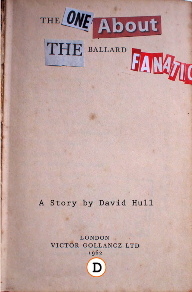

# THE BALLARD HAMPIT

# A Story by David Hull

### LONDON VICTOR GOLLANCZ LTD 1962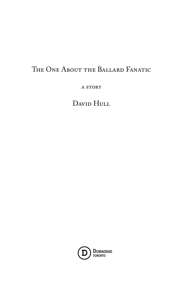# THE ONE ABOUT THE BALLARD FANATIC

A STORY

DAVID HULL

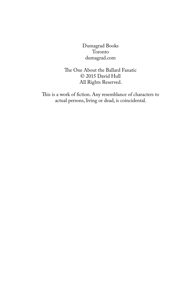Dumagrad Books Toronto dumagrad.com

The One About the Ballard Fanatic © 2015 David Hull All Rights Reserved.

This is a work of fiction. Any resemblance of characters to actual persons, living or dead, is coincidental.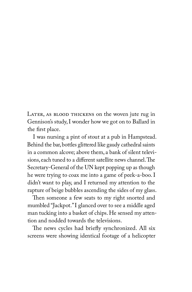LATER, AS BLOOD THICKENS on the woven jute rug in Gennison's study, I wonder how we got on to Ballard in the first place.

I was nursing a pint of stout at a pub in Hampstead. Behind the bar, bottles glittered like gaudy cathedral saints in a common alcove; above them, a bank of silent televisions, each tuned to a different satellite news channel. The Secretary-General of the UN kept popping up as though he were trying to coax me into a game of peek-a-boo. I didn't want to play, and I returned my attention to the rapture of beige bubbles ascending the sides of my glass.

Then someone a few seats to my right snorted and mumbled "Jackpot." I glanced over to see a middle aged man tucking into a basket of chips. He sensed my attention and nodded towards the televisions.

The news cycles had briefly synchronized. All six screens were showing identical footage of a helicopter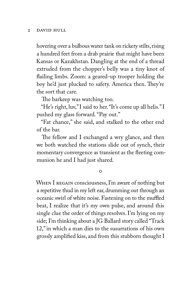hovering over a bulbous water tank on rickety stilts, rising a hundred feet from a drab prairie that might have been Kansas or Kazakhstan. Dangling at the end of a thread extruded from the chopper's belly was a tiny knot of flailing limbs. Zoom: a geared-up trooper holding the boy he'd just plucked to safety. America then. They're the sort that care.

The barkeep was watching too.

"He's right, luv," I said to her. "It's come up all helis." I pushed my glass forward. "Pay out."

"Fat chance," she said, and stalked to the other end of the bar.

The fellow and I exchanged a wry glance, and then we both watched the stations slide out of synch, their momentary convergence as transient as the fleeting communion he and I had just shared.

 $\circ$ 

WHEN I REGAIN consciousness, I'm aware of nothing but a repetitive thud in my left ear, drumming out through an oceanic swirl of white noise. Fastening on to the muffled beat, I realize that it's my own pulse, and around this single clue the order of things resolves. I'm lying on my side; I'm thinking about a JG Ballard story called "Track 12," in which a man dies to the susurrations of his own grossly amplified kiss, and from this stubborn thought I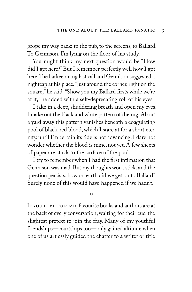grope my way back: to the pub, to the screens, to Ballard. To Gennison. I'm lying on the floor of his study.

You might think my next question would be "How did I get here?" But I remember perfectly well how I got here. The barkeep rang last call and Gennison suggested a nightcap at his place. "Just around the corner, right on the square," he said. "Show you my Ballard firsts while we're at it," he added with a self-deprecating roll of his eyes.

I take in a deep, shuddering breath and open my eyes. I make out the black and white pattern of the rug. About a yard away this pattern vanishes beneath a coagulating pool of black-red blood, which I stare at for a short eternity, until I'm certain its tide is not advancing. I dare not wonder whether the blood is mine, not yet. A few sheets of paper are stuck to the surface of the pool.

I try to remember when I had the first intimation that Gennison was mad. But my thoughts won't stick, and the question persists: how on earth did we get on to Ballard? Surely none of this would have happened if we hadn't.

 $\circ$ 

IF YOU LOVE TO READ, favourite books and authors are at the back of every conversation, waiting for their cue, the slightest pretext to join the fray. Many of my youthful friendships—courtships too—only gained altitude when one of us artlessly guided the chatter to a writer or title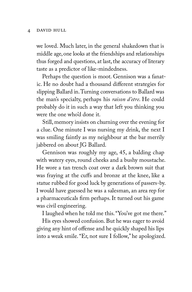### 4 david hull

we loved. Much later, in the general shakedown that is middle age, one looks at the friendships and relationships thus forged and questions, at last, the accuracy of literary taste as a predictor of like-mindedness.

Perhaps the question is moot. Gennison was a fanatic. He no doubt had a thousand different strategies for slipping Ballard in. Turning conversations to Ballard was the man's specialty, perhaps his *raison d'etre*. He could probably do it in such a way that left you thinking you were the one who'd done it.

Still, memory insists on churning over the evening for a clue. One minute I was nursing my drink, the next I was smiling faintly as my neighbour at the bar merrily jabbered on about JG Ballard.

Gennison was roughly my age, 45, a balding chap with watery eyes, round cheeks and a bushy moustache. He wore a tan trench coat over a dark brown suit that was fraying at the cuffs and bronze at the knee, like a statue rubbed for good luck by generations of passers-by. I would have guessed he was a salesman, an area rep for a pharmaceuticals firm perhaps. It turned out his game was civil engineering.

I laughed when he told me this. "You've got me there."

His eyes showed confusion. But he was eager to avoid giving any hint of offense and he quickly shaped his lips into a weak smile. "Er, not sure I follow," he apologized.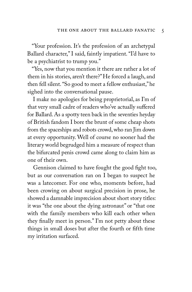"Your profession. It's the profession of an archetypal Ballard character," I said, faintly impatient. "I'd have to be a psychiatrist to trump you."

"Yes, now that you mention it there are rather a lot of them in his stories, aren't there?" He forced a laugh, and then fell silent. "So good to meet a fellow enthusiast," he sighed into the conversational pause.

I make no apologies for being proprietorial, as I'm of that very small cadre of readers who've actually suffered for Ballard. As a spotty teen back in the seventies heyday of British fandom I bore the brunt of some cheap shots from the spaceships and robots crowd, who ran Jim down at every opportunity. Well of course no sooner had the literary world begrudged him a measure of respect than the bifurcated penis crowd came along to claim him as one of their own.

Gennison claimed to have fought the good fight too, but as our conversation ran on I began to suspect he was a latecomer. For one who, moments before, had been crowing on about surgical precision in prose, he showed a damnable imprecision about short story titles: it was "the one about the dying astronaut" or "that one with the family members who kill each other when they finally meet in person." I'm not petty about these things in small doses but after the fourth or fifth time my irritation surfaced.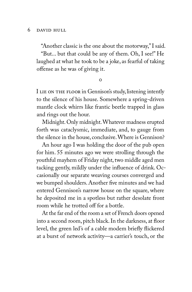"Another classic is the one about the motorway," I said.

"But... but that could be any of them. Oh, I see!" He laughed at what he took to be a joke, as fearful of taking offense as he was of giving it.

 $\Omega$ 

I LIE ON THE FLOOR in Gennison's study, listening intently to the silence of his house. Somewhere a spring-driven mantle clock whirrs like frantic beetle trapped in glass and rings out the hour.

Midnight. Only midnight. Whatever madness erupted forth was cataclysmic, immediate, and, to gauge from the silence in the house, conclusive. Where is Gennison?

An hour ago I was holding the door of the pub open for him. 55 minutes ago we were strolling through the youthful mayhem of Friday night, two middle aged men tacking gently, mildly under the influence of drink. Occasionally our separate weaving courses converged and we bumped shoulders. Another five minutes and we had entered Gennison's narrow house on the square, where he deposited me in a spotless but rather desolate front room while he trotted off for a bottle.

At the far end of the room a set of French doors opened into a second room, pitch black. In the darkness, at floor level, the green led's of a cable modem briefly flickered at a burst of network activity—a carrier's touch, or the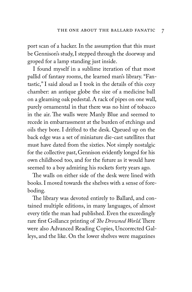port scan of a hacker. In the assumption that this must be Gennison's study, I stepped through the doorway and groped for a lamp standing just inside.

I found myself in a sublime iteration of that most pallid of fantasy rooms, the learned man's library. "Fantastic," I said aloud as I took in the details of this cozy chamber: an antique globe the size of a medicine ball on a gleaming oak pedestal. A rack of pipes on one wall, purely ornamental in that there was no hint of tobacco in the air. The walls were Manly Blue and seemed to recede in embarrassment at the burden of etchings and oils they bore. I drifted to the desk. Queued up on the back edge was a set of miniature die-cast satellites that must have dated from the sixties. Not simply nostalgic for the collective past, Gennison evidently longed for his own childhood too, and for the future as it would have seemed to a boy admiring his rockets forty years ago.

The walls on either side of the desk were lined with books. I moved towards the shelves with a sense of foreboding.

The library was devoted entirely to Ballard, and contained multiple editions, in many languages, of almost every title the man had published. Even the exceedingly rare first Gollancz printing of *The Drowned World*. There were also Advanced Reading Copies, Uncorrected Galleys, and the like. On the lower shelves were magazines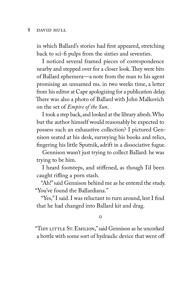in which Ballard's stories had first appeared, stretching back to sci-fi pulps from the sixties and seventies.

I noticed several framed pieces of correspondence nearby and stepped over for a closer look. They were bits of Ballard ephemera—a note from the man to his agent promising an unnamed ms. in two weeks time, a letter from his editor at Cape apologizing for a publication delay. There was also a photo of Ballard with John Malkovich on the set of *Empire of the Sun*.

I took a step back, and looked at the library afresh. Who but the author himself would reasonably be expected to possess such an exhaustive collection? I pictured Gennison seated at his desk, surveying his books and relics, fingering his little Sputnik, adrift in a dissociative fugue.

Gennison wasn't just trying to collect Ballard: he was trying to be him.

I heard footsteps, and stiffened, as though I'd been caught rifling a porn stash.

"Ah!" said Gennison behind me as he entered the study. "You've found the Ballardiana."

"Yes," I said. I was reluctant to turn around, lest I find that he had changed into Ballard kit and drag.

 $\circ$ 

"TIDY LITTLE ST. EMILION," said Gennison as he uncorked a bottle with some sort of hydraulic device that went off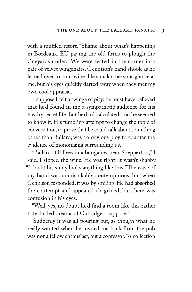with a muffled retort. "Shame about what's happening in Bordeaux. EU paying the old firms to plough the vineyards under." We were seated in the corner in a pair of velvet wingchairs. Gennison's hand shook as he leaned over to pour wine. He snuck a nervous glance at me, but his eyes quickly darted away when they met my own cool appraisal.

I suppose I felt a twinge of pity: he must have believed that he'd found in me a sympathetic audience for his tawdry secret life. But he'd miscalculated, and he seemed to know it. His fumbling attempt to change the topic of conversation, to prove that he could talk about something other than Ballard, was an obvious ploy to counter the evidence of monomania surrounding us.

"Ballard still lives in a bungalow near Shepperton," I said. I sipped the wine. He was right; it wasn't shabby. "I doubt his study looks anything like this." The wave of my hand was unmistakably contemptuous, but when Gennison responded, it was by smiling. He had absorbed the contempt and appeared chagrined, but there was confusion in his eyes.

"Well, yes, no doubt he'd find a room like this rather trite. Faded dreams of Oxbridge I suppose."

Suddenly it was all pouring out, as though what he really wanted when he invited me back from the pub was not a fellow enthusiast, but a confessor. "A collection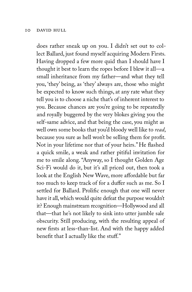does rather sneak up on you. I didn't set out to collect Ballard, just found myself acquiring Modern Firsts. Having dropped a few more quid than I should have I thought it best to learn the ropes before I blew it all—a small inheritance from my father—and what they tell you, 'they' being, as 'they' always are, those who might be expected to know such things, at any rate what they tell you is to choose a niche that's of inherent interest to you. Because chances are you're going to be repeatedly and royally buggered by the very blokes giving you the self-same advice, and that being the case, you might as well own some books that you'd bloody well like to *read*, because you sure as hell won't be selling them for profit. Not in your lifetime nor that of your heirs." He flashed a quick smile, a weak and rather pitiful invitation for me to smile along. "Anyway, so I thought Golden Age Sci-Fi would do it, but it's all priced out, then took a look at the English New Wave, more affordable but far too much to keep track of for a duffer such as me. So I settled for Ballard. Prolific enough that one will never have it all, which would quite defeat the purpose wouldn't it? Enough mainstream recognition—Hollywood and all that—that he's not likely to sink into utter jumble sale obscurity. Still producing, with the resulting appeal of new firsts at less-than-list. And with the happy added benefit that I actually like the stuff."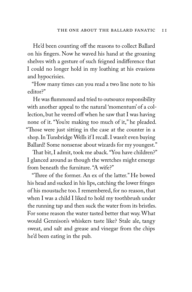He'd been counting off the reasons to collect Ballard on his fingers. Now he waved his hand at the groaning shelves with a gesture of such feigned indifference that I could no longer hold in my loathing at his evasions and hypocrisies.

"How many times can you read a two line note to his editor?"

He was flummoxed and tried to outsource responsibility with another appeal to the natural 'momentum' of a collection, but he veered off when he saw that I was having none of it. "You're making too much of it," he pleaded. "Those were just sitting in the case at the counter in a shop. In Tunsbridge Wells if I recall. I wasn't even buying Ballard! Some nonsense about wizards for my youngest."

That bit, I admit, took me aback. "You have children?" I glanced around as though the wretches might emerge from beneath the furniture. "A wife?"

"Three of the former. An ex of the latter." He bowed his head and sucked in his lips, catching the lower fringes of his moustache too. I remembered, for no reason, that when I was a child I liked to hold my toothbrush under the running tap and then suck the water from its bristles. For some reason the water tasted better that way. What would Gennison's whiskers taste like? Stale ale, tangy sweat, and salt and grease and vinegar from the chips he'd been eating in the pub.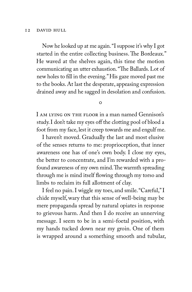Now he looked up at me again. "I suppose it's why I got started in the entire collecting business. The Bordeaux." He waved at the shelves again, this time the motion communicating an utter exhaustion. "The Ballards. Lot of new holes to fill in the evening." His gaze moved past me to the books. At last the desperate, appeasing expression drained away and he sagged in desolation and confusion.

 $\Omega$ 

I am lying on the floor in a man named Gennison's study. I don't take my eyes off the clotting pool of blood a foot from my face, lest it creep towards me and engulf me.

I haven't moved. Gradually the last and most elusive of the senses returns to me: proprioception, that inner awareness one has of one's own body. I close my eyes, the better to concentrate, and I'm rewarded with a profound awareness of my own mind. The warmth spreading through me is mind itself flowing through my torso and limbs to reclaim its full allotment of clay.

I feel no pain. I wiggle my toes, and smile. "Careful," I chide myself, wary that this sense of well-being may be mere propaganda spread by natural opiates in response to grievous harm. And then I do receive an unnerving message. I seem to be in a semi-foetal position, with my hands tucked down near my groin. One of them is wrapped around a something smooth and tubular,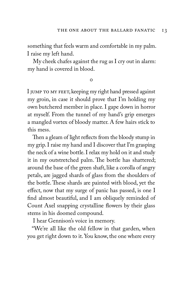something that feels warm and comfortable in my palm. I raise my left hand.

My cheek chafes against the rug as I cry out in alarm: my hand is covered in blood.

 $\Omega$ 

I JUMP TO MY FEET, keeping my right hand pressed against my groin, in case it should prove that I'm holding my own butchered member in place. I gape down in horror at myself. From the tunnel of my hand's grip emerges a mangled vortex of bloody matter. A few hairs stick to this mess.

Then a gleam of light reflects from the bloody stump in my grip. I raise my hand and I discover that I'm grasping the neck of a wine bottle. I relax my hold on it and study it in my outstretched palm. The bottle has shattered; around the base of the green shaft, like a corolla of angry petals, are jagged shards of glass from the shoulders of the bottle. These shards are painted with blood, yet the effect, now that my surge of panic has passed, is one I find almost beautiful, and I am obliquely reminded of Count Axel snapping crystalline flowers by their glass stems in his doomed compound.

I hear Gennison's voice in memory.

"We're all like the old fellow in that garden, when you get right down to it. You know, the one where every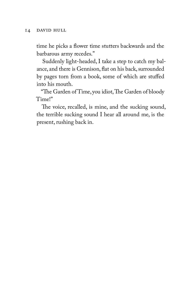time he picks a flower time stutters backwards and the barbarous army recedes."

Suddenly light-headed, I take a step to catch my balance, and there is Gennison, flat on his back, surrounded by pages torn from a book, some of which are stuffed into his mouth.

"The Garden of Time, you idiot, The Garden of bloody Time!"

The voice, recalled, is mine, and the sucking sound, the terrible sucking sound I hear all around me, is the present, rushing back in.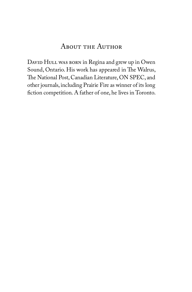### About the Author

DAVID HULL WAS BORN in Regina and grew up in Owen Sound, Ontario. His work has appeared in The Walrus, The National Post, Canadian Literature, ON SPEC, and other journals, including Prairie Fire as winner of its long fiction competition. A father of one, he lives in Toronto.